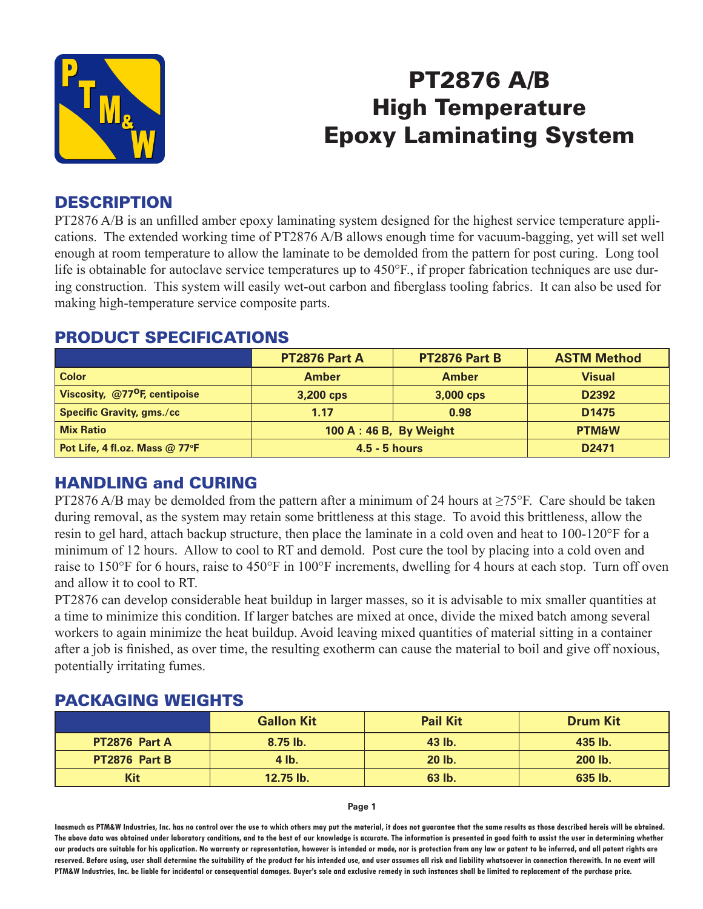

# PT2876 A/B High Temperature Epoxy Laminating System

## **DESCRIPTION**

PT2876 A/B is an unfilled amber epoxy laminating system designed for the highest service temperature applications. The extended working time of PT2876 A/B allows enough time for vacuum-bagging, yet will set well enough at room temperature to allow the laminate to be demolded from the pattern for post curing. Long tool life is obtainable for autoclave service temperatures up to 450°F., if proper fabrication techniques are use during construction. This system will easily wet-out carbon and fiberglass tooling fabrics. It can also be used for making high-temperature service composite parts.

|                                           | <b>PT2876 Part A</b>    | <b>PT2876 Part B</b> | <b>ASTM Method</b> |  |
|-------------------------------------------|-------------------------|----------------------|--------------------|--|
| <b>Color</b>                              | <b>Amber</b>            | <b>Amber</b>         | <b>Visual</b>      |  |
| Viscosity, @77 <sup>o</sup> F, centipoise | 3,200 cps               | 3,000 cps            | D <sub>2392</sub>  |  |
| <b>Specific Gravity, gms./cc</b>          | 1.17                    | 0.98                 | D <sub>1475</sub>  |  |
| <b>Mix Ratio</b>                          | 100 A : 46 B, By Weight | <b>PTM&amp;W</b>     |                    |  |
| Pot Life, 4 fl.oz. Mass $@$ 77°F          | $4.5 - 5$ hours         | D <sub>2471</sub>    |                    |  |

#### PRODUCT SPECIFICATIONS

# HANDLING and CURING

PT2876 A/B may be demolded from the pattern after a minimum of 24 hours at  $\geq$ 75°F. Care should be taken during removal, as the system may retain some brittleness at this stage. To avoid this brittleness, allow the resin to gel hard, attach backup structure, then place the laminate in a cold oven and heat to 100-120°F for a minimum of 12 hours. Allow to cool to RT and demold. Post cure the tool by placing into a cold oven and raise to 150°F for 6 hours, raise to 450°F in 100°F increments, dwelling for 4 hours at each stop. Turn off oven and allow it to cool to RT.

PT2876 can develop considerable heat buildup in larger masses, so it is advisable to mix smaller quantities at a time to minimize this condition. If larger batches are mixed at once, divide the mixed batch among several workers to again minimize the heat buildup. Avoid leaving mixed quantities of material sitting in a container after a job is finished, as over time, the resulting exotherm can cause the material to boil and give off noxious, potentially irritating fumes.

## PACKAGING WEIGHTS

|                      | <b>Gallon Kit</b> | <b>Pail Kit</b> | <b>Drum Kit</b> |  |
|----------------------|-------------------|-----------------|-----------------|--|
| <b>PT2876 Part A</b> | $8.75$ lb.        | 43 lb.          | 435 lb.         |  |
| PT2876 Part B        | $4$ lb.           | $20$ lb.        | 200 lb.         |  |
| Kit                  | 12.75 lb.         | 63 lb.          | 635 lb.         |  |

**Page 1**

**Inasmuch as PTM&W Industries, Inc. has no control over the use to which others may put the material, it does not guarantee that the same results as those described hereis will be obtained. The above data was obtained under laboratory conditions, and to the best of our knowledge is accurate. The information is presented in good faith to assist the user in determining whether our products are suitable for his application. No warranty or representation, however is intended or made, nor is protection from any law or patent to be inferred, and all patent rights are**  reserved. Before using, user shall determine the suitability of the product for his intended use, and user assumes all risk and liability whatsoever in connection therewith. In no event will **PTM&W Industries, Inc. be liable for incidental or consequential damages. Buyer's sole and exclusive remedy in such instances shall be limited to replacement of the purchase price.**